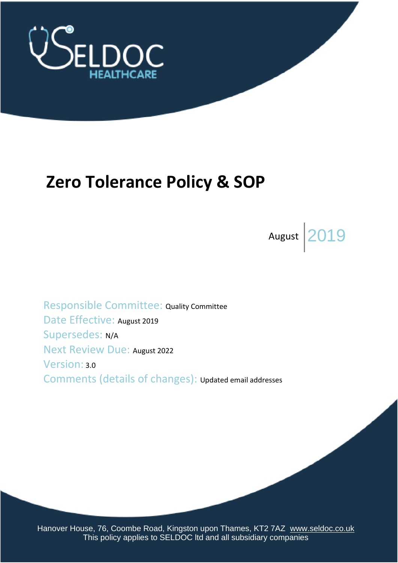

# **Zero Tolerance Policy & SOP**

August  $2019$ 

Responsible Committee: Quality Committee Date Effective: August 2019 Supersedes: N/A Next Review Due: August 2022 Version: 3.0 Comments (details of changes): Updated email addresses

Hanover House, 76, Coombe Road, Kingston upon Thames, KT2 7AZ [www.seldoc.co.uk](http://www.seldoc.co.uk/) This policy applies to SELDOC Itd and all subsidiary companies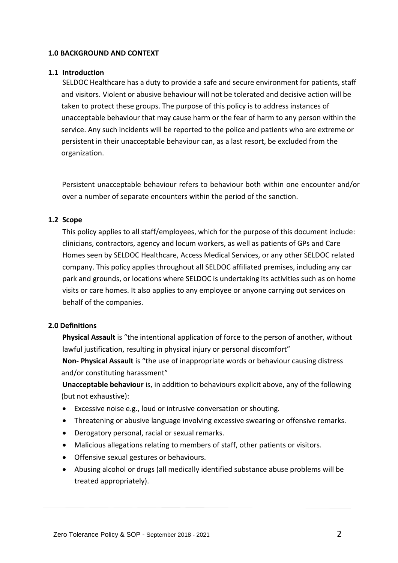## **1.0 BACKGROUND AND CONTEXT**

## **1.1 Introduction**

SELDOC Healthcare has a duty to provide a safe and secure environment for patients, staff and visitors. Violent or abusive behaviour will not be tolerated and decisive action will be taken to protect these groups. The purpose of this policy is to address instances of unacceptable behaviour that may cause harm or the fear of harm to any person within the service. Any such incidents will be reported to the police and patients who are extreme or persistent in their unacceptable behaviour can, as a last resort, be excluded from the organization.

Persistent unacceptable behaviour refers to behaviour both within one encounter and/or over a number of separate encounters within the period of the sanction.

## **1.2 Scope**

This policy applies to all staff/employees, which for the purpose of this document include: clinicians, contractors, agency and locum workers, as well as patients of GPs and Care Homes seen by SELDOC Healthcare, Access Medical Services, or any other SELDOC related company. This policy applies throughout all SELDOC affiliated premises, including any car park and grounds, or locations where SELDOC is undertaking its activities such as on home visits or care homes. It also applies to any employee or anyone carrying out services on behalf of the companies.

# **2.0 Definitions**

**Physical Assault** is "the intentional application of force to the person of another, without lawful justification, resulting in physical injury or personal discomfort"

**Non- Physical Assault** is "the use of inappropriate words or behaviour causing distress and/or constituting harassment"

**Unacceptable behaviour** is, in addition to behaviours explicit above, any of the following (but not exhaustive):

- Excessive noise e.g., loud or intrusive conversation or shouting.
- Threatening or abusive language involving excessive swearing or offensive remarks.
- Derogatory personal, racial or sexual remarks.
- Malicious allegations relating to members of staff, other patients or visitors.
- Offensive sexual gestures or behaviours.
- Abusing alcohol or drugs (all medically identified substance abuse problems will be treated appropriately).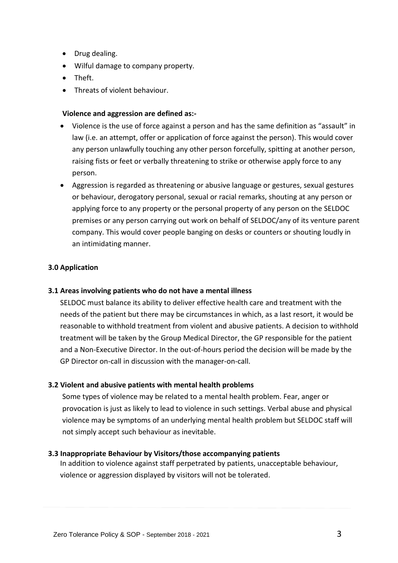- Drug dealing.
- Wilful damage to company property.
- Theft.
- Threats of violent behaviour.

# **Violence and aggression are defined as:-**

- Violence is the use of force against a person and has the same definition as "assault" in law (i.e. an attempt, offer or application of force against the person). This would cover any person unlawfully touching any other person forcefully, spitting at another person, raising fists or feet or verbally threatening to strike or otherwise apply force to any person.
- Aggression is regarded as threatening or abusive language or gestures, sexual gestures or behaviour, derogatory personal, sexual or racial remarks, shouting at any person or applying force to any property or the personal property of any person on the SELDOC premises or any person carrying out work on behalf of SELDOC/any of its venture parent company. This would cover people banging on desks or counters or shouting loudly in an intimidating manner.

## **3.0 Application**

## **3.1 Areas involving patients who do not have a mental illness**

SELDOC must balance its ability to deliver effective health care and treatment with the needs of the patient but there may be circumstances in which, as a last resort, it would be reasonable to withhold treatment from violent and abusive patients. A decision to withhold treatment will be taken by the Group Medical Director, the GP responsible for the patient and a Non-Executive Director. In the out-of-hours period the decision will be made by the GP Director on-call in discussion with the manager-on-call.

## **3.2 Violent and abusive patients with mental health problems**

Some types of violence may be related to a mental health problem. Fear, anger or provocation is just as likely to lead to violence in such settings. Verbal abuse and physical violence may be symptoms of an underlying mental health problem but SELDOC staff will not simply accept such behaviour as inevitable.

## **3.3 Inappropriate Behaviour by Visitors/those accompanying patients**

In addition to violence against staff perpetrated by patients, unacceptable behaviour, violence or aggression displayed by visitors will not be tolerated.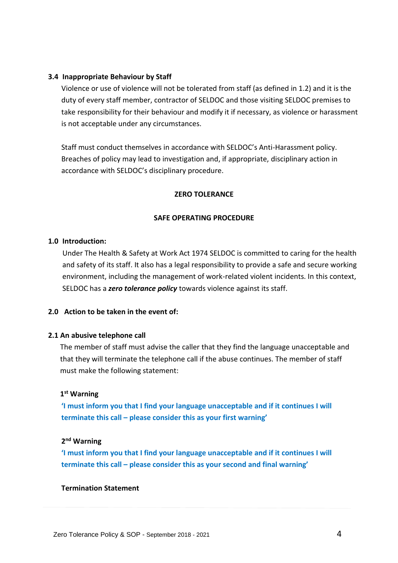## **3.4 Inappropriate Behaviour by Staff**

Violence or use of violence will not be tolerated from staff (as defined in 1.2) and it is the duty of every staff member, contractor of SELDOC and those visiting SELDOC premises to take responsibility for their behaviour and modify it if necessary, as violence or harassment is not acceptable under any circumstances.

Staff must conduct themselves in accordance with SELDOC's Anti-Harassment policy. Breaches of policy may lead to investigation and, if appropriate, disciplinary action in accordance with SELDOC's disciplinary procedure.

#### **ZERO TOLERANCE**

#### **SAFE OPERATING PROCEDURE**

#### **1.0 Introduction:**

Under The Health & Safety at Work Act 1974 SELDOC is committed to caring for the health and safety of its staff. It also has a legal responsibility to provide a safe and secure working environment, including the management of work-related violent incidents. In this context, SELDOC has a *zero tolerance policy* towards violence against its staff.

## **2.0 Action to be taken in the event of:**

#### **2.1 An abusive telephone call**

The member of staff must advise the caller that they find the language unacceptable and that they will terminate the telephone call if the abuse continues. The member of staff must make the following statement:

## **1 st Warning**

**'I must inform you that I find your language unacceptable and if it continues I will terminate this call – please consider this as your first warning'** 

## **2 nd Warning**

**'I must inform you that I find your language unacceptable and if it continues I will terminate this call – please consider this as your second and final warning'** 

#### **Termination Statement**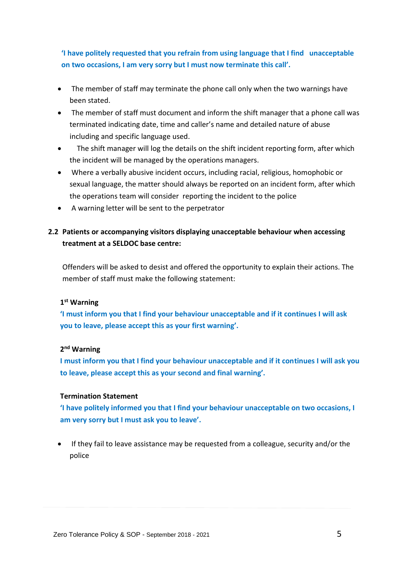# **'I have politely requested that you refrain from using language that I find unacceptable on two occasions, I am very sorry but I must now terminate this call'.**

- The member of staff may terminate the phone call only when the two warnings have been stated.
- The member of staff must document and inform the shift manager that a phone call was terminated indicating date, time and caller's name and detailed nature of abuse including and specific language used.
- The shift manager will log the details on the shift incident reporting form, after which the incident will be managed by the operations managers.
- Where a verbally abusive incident occurs, including racial, religious, homophobic or sexual language, the matter should always be reported on an incident form, after which the operations team will consider reporting the incident to the police
- A warning letter will be sent to the perpetrator

# **2.2 Patients or accompanying visitors displaying unacceptable behaviour when accessing treatment at a SELDOC base centre:**

Offenders will be asked to desist and offered the opportunity to explain their actions. The member of staff must make the following statement:

## **1 st Warning**

**'I must inform you that I find your behaviour unacceptable and if it continues I will ask you to leave, please accept this as your first warning'.**

# **2 nd Warning**

**I must inform you that I find your behaviour unacceptable and if it continues I will ask you to leave, please accept this as your second and final warning'.** 

## **Termination Statement**

**'I have politely informed you that I find your behaviour unacceptable on two occasions, I am very sorry but I must ask you to leave'.**

• If they fail to leave assistance may be requested from a colleague, security and/or the police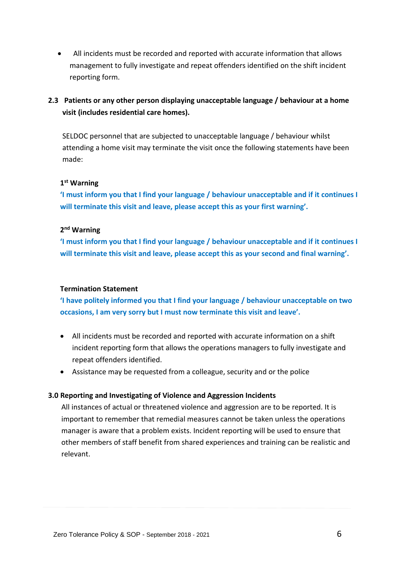• All incidents must be recorded and reported with accurate information that allows management to fully investigate and repeat offenders identified on the shift incident reporting form.

# **2.3 Patients or any other person displaying unacceptable language / behaviour at a home visit (includes residential care homes).**

SELDOC personnel that are subjected to unacceptable language / behaviour whilst attending a home visit may terminate the visit once the following statements have been made:

# **1 st Warning**

**'I must inform you that I find your language / behaviour unacceptable and if it continues I will terminate this visit and leave, please accept this as your first warning'.**

# **2 nd Warning**

**'I must inform you that I find your language / behaviour unacceptable and if it continues I will terminate this visit and leave, please accept this as your second and final warning'.** 

# **Termination Statement**

**'I have politely informed you that I find your language / behaviour unacceptable on two occasions, I am very sorry but I must now terminate this visit and leave'.**

- All incidents must be recorded and reported with accurate information on a shift incident reporting form that allows the operations managers to fully investigate and repeat offenders identified.
- Assistance may be requested from a colleague, security and or the police

# **3.0 Reporting and Investigating of Violence and Aggression Incidents**

All instances of actual or threatened violence and aggression are to be reported. It is important to remember that remedial measures cannot be taken unless the operations manager is aware that a problem exists. Incident reporting will be used to ensure that other members of staff benefit from shared experiences and training can be realistic and relevant.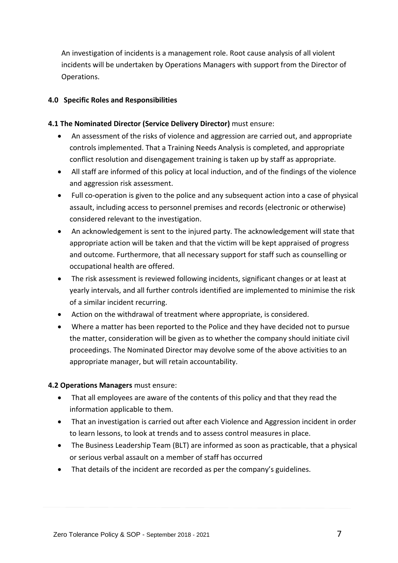An investigation of incidents is a management role. Root cause analysis of all violent incidents will be undertaken by Operations Managers with support from the Director of Operations.

# **4.0 Specific Roles and Responsibilities**

# **4.1 The Nominated Director (Service Delivery Director)** must ensure:

- An assessment of the risks of violence and aggression are carried out, and appropriate controls implemented. That a Training Needs Analysis is completed, and appropriate conflict resolution and disengagement training is taken up by staff as appropriate.
- All staff are informed of this policy at local induction, and of the findings of the violence and aggression risk assessment.
- Full co-operation is given to the police and any subsequent action into a case of physical assault, including access to personnel premises and records (electronic or otherwise) considered relevant to the investigation.
- An acknowledgement is sent to the injured party. The acknowledgement will state that appropriate action will be taken and that the victim will be kept appraised of progress and outcome. Furthermore, that all necessary support for staff such as counselling or occupational health are offered.
- The risk assessment is reviewed following incidents, significant changes or at least at yearly intervals, and all further controls identified are implemented to minimise the risk of a similar incident recurring.
- Action on the withdrawal of treatment where appropriate, is considered.
- Where a matter has been reported to the Police and they have decided not to pursue the matter, consideration will be given as to whether the company should initiate civil proceedings. The Nominated Director may devolve some of the above activities to an appropriate manager, but will retain accountability.

# **4.2 Operations Managers** must ensure:

- That all employees are aware of the contents of this policy and that they read the information applicable to them.
- That an investigation is carried out after each Violence and Aggression incident in order to learn lessons, to look at trends and to assess control measures in place.
- The Business Leadership Team (BLT) are informed as soon as practicable, that a physical or serious verbal assault on a member of staff has occurred
- That details of the incident are recorded as per the company's guidelines.